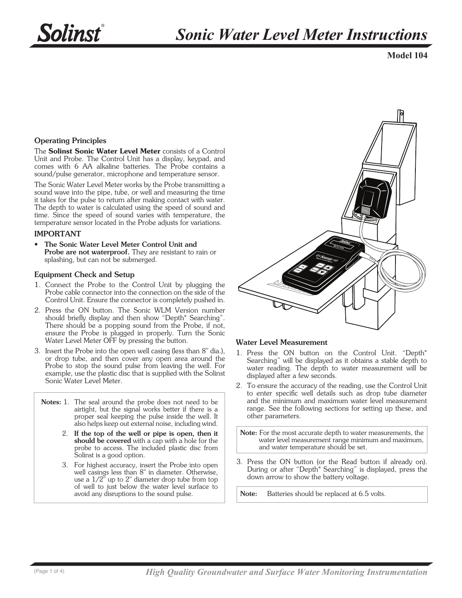**Model 104**

# Operating Principles

The Solinst Sonic Water Level Meter consists of a Control Unit and Probe. The Control Unit has a display, keypad, and comes with 6 AA alkaline batteries. The Probe contains a sound/pulse generator, microphone and temperature sensor.

The Sonic Water Level Meter works by the Probe transmitting a sound wave into the pipe, tube, or well and measuring the time it takes for the pulse to return after making contact with water. The depth to water is calculated using the speed of sound and time. Since the speed of sound varies with temperature, the temperature sensor located in the Probe adjusts for variations.

#### IMPORTANT

• The Sonic Water Level Meter Control Unit and Probe are not waterproof. They are resistant to rain or splashing, but can not be submerged.

#### Equipment Check and Setup

- 1. Connect the Probe to the Control Unit by plugging the Probe cable connector into the connection on the side of the Control Unit. Ensure the connector is completely pushed in.
- 2. Press the ON button. The Sonic WLM Version number should briefly display and then show "Depth\* Searching". There should be a popping sound from the Probe, if not, ensure the Probe is plugged in properly. Turn the Sonic Water Level Meter OFF by pressing the button.
- 3. Insert the Probe into the open well casing (less than 8" dia.), or drop tube, and then cover any open area around the Probe to stop the sound pulse from leaving the well. For example, use the plastic disc that is supplied with the Solinst Sonic Water Level Meter.
	- Notes: 1. The seal around the probe does not need to be airtight, but the signal works better if there is a proper seal keeping the pulse inside the well. It also helps keep out external noise, including wind.
		- 2. If the top of the well or pipe is open, then it should be covered with a cap with a hole for the probe to access. The included plastic disc from Solinst is a good option.
		- 3. For highest accuracy, insert the Probe into open well casings less than 8" in diameter. Otherwise, use a 1/2" up to 2" diameter drop tube from top of well to just below the water level surface to avoid any disruptions to the sound pulse.



## Water Level Measurement

- 1. Press the ON button on the Control Unit. "Depth\* Searching" will be displayed as it obtains a stable depth to water reading. The depth to water measurement will be displayed after a few seconds.
- 2. To ensure the accuracy of the reading, use the Control Unit to enter specific well details such as drop tube diameter and the minimum and maximum water level measurement range. See the following sections for setting up these, and other parameters.

Note: For the most accurate depth to water measurements, the water level measurement range minimum and maximum, and water temperature should be set.

3. Press the ON button (or the Read button if already on). During or after "Depth\* Searching" is displayed, press the down arrow to show the battery voltage.

Note: Batteries should be replaced at 6.5 volts.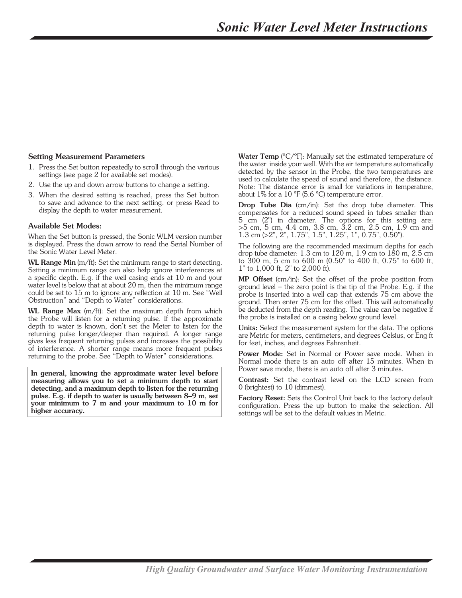# Setting Measurement Parameters

- 1. Press the Set button repeatedly to scroll through the various settings (see page 2 for available set modes).
- 2. Use the up and down arrow buttons to change a setting.
- 3. When the desired setting is reached, press the Set button to save and advance to the next setting, or press Read to display the depth to water measurement.

## Available Set Modes:

When the Set button is pressed, the Sonic WLM version number is displayed. Press the down arrow to read the Serial Number of the Sonic Water Level Meter.

WL Range Min (m/ft): Set the minimum range to start detecting. Setting a minimum range can also help ignore interferences at a specific depth. E.g. if the well casing ends at 10 m and your water level is below that at about 20 m, then the minimum range could be set to 15 m to ignore any reflection at 10 m. See "Well Obstruction" and "Depth to Water" considerations.

WL Range Max (m/ft): Set the maximum depth from which the Probe will listen for a returning pulse. If the approximate depth to water is known, don't set the Meter to listen for the returning pulse longer/deeper than required. A longer range gives less frequent returning pulses and increases the possibility of interference. A shorter range means more frequent pulses returning to the probe. See "Depth to Water" considerations.

In general, knowing the approximate water level before measuring allows you to set a minimum depth to start detecting, and a maximum depth to listen for the returning pulse. E.g. if depth to water is usually between 8–9 m, set your minimum to 7 m and your maximum to 10 m for higher accuracy.

Water Temp (°C/°F): Manually set the estimated temperature of the water inside your well. With the air temperature automatically detected by the sensor in the Probe, the two temperatures are used to calculate the speed of sound and therefore, the distance. Note: The distance error is small for variations in temperature, about 1% for a 10 ºF (5.6 ºC) temperature error.

**Drop Tube Dia** (cm/in): Set the drop tube diameter. This compensates for a reduced sound speed in tubes smaller than 5 cm (2") in diameter. The options for this setting are: >5 cm, 5 cm, 4.4 cm, 3.8 cm, 3.2 cm, 2.5 cm, 1.9 cm and 1.3 cm (>2", 2", 1.75", 1.5", 1.25", 1", 0.75", 0.50").

The following are the recommended maximum depths for each drop tube diameter: 1.3 cm to 120 m, 1.9 cm to 180 m, 2.5 cm to 300 m, 5 cm to 600 m (0.50" to 400 ft, 0.75" to 600 ft, 1" to 1,000 ft, 2" to 2,000 ft).

MP Offset (cm/in): Set the offset of the probe position from ground level – the zero point is the tip of the Probe. E.g. if the probe is inserted into a well cap that extends 75 cm above the ground. Then enter 75 cm for the offset. This will automatically be deducted from the depth reading. The value can be negative if the probe is installed on a casing below ground level.

Units: Select the measurement system for the data. The options are Metric for meters, centimeters, and degrees Celsius, or Eng ft for feet, inches, and degrees Fahrenheit.

Power Mode: Set in Normal or Power save mode. When in Normal mode there is an auto off after 15 minutes. When in Power save mode, there is an auto off after 3 minutes.

Contrast: Set the contrast level on the LCD screen from 0 (brightest) to 10 (dimmest).

Factory Reset: Sets the Control Unit back to the factory default configuration. Press the up button to make the selection. All settings will be set to the default values in Metric.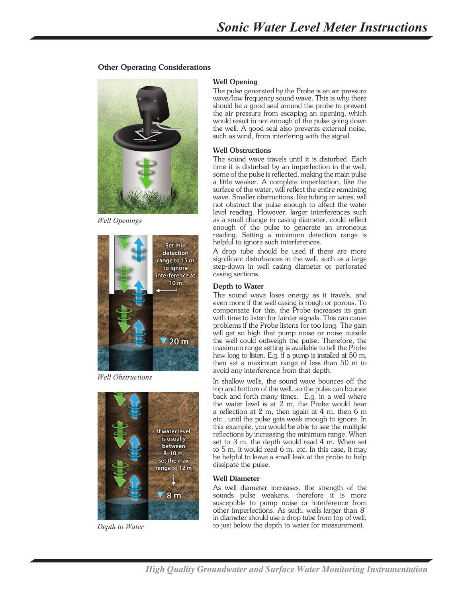## Other Operating Considerations



*Well Openings*



*Well Obstructions*



*Depth to Water*

#### Well Opening

The pulse generated by the Probe is an air pressure wave/low frequency sound wave. This is why there should be a good seal around the probe to prevent the air pressure from escaping an opening, which would result in not enough of the pulse going down the well. A good seal also prevents external noise, such as wind, from interfering with the signal.

#### Well Obstructions

The sound wave travels until it is disturbed. Each time it is disturbed by an imperfection in the well, some of the pulse is reflected, making the main pulse a little weaker. A complete imperfection, like the surface of the water, will reflect the entire remaining wave. Smaller obstructions, like tubing or wires, will not obstruct the pulse enough to affect the water level reading. However, larger interferences such as a small change in casing diameter, could reflect enough of the pulse to generate an erroneous reading. Setting a minimum detection range is helpful to ignore such interferences.

A drop tube should be used if there are more significant disturbances in the well, such as a large step-down in well casing diameter or perforated casing sections.

#### Depth to Water

The sound wave loses energy as it travels, and even more if the well casing is rough or porous. To compensate for this, the Probe increases its gain with time to listen for fainter signals. This can cause problems if the Probe listens for too long. The gain will get so high that pump noise or noise outside the well could outweigh the pulse. Therefore, the maximum range setting is available to tell the Probe how long to listen. E.g. if a pump is installed at 50 m, then set a maximum range of less than 50 m to avoid any interference from that depth.

In shallow wells, the sound wave bounces off the top and bottom of the well, so the pulse can bounce back and forth many times. E.g. in a well where the water level is at 2 m, the Probe would hear a reflection at 2 m, then again at 4 m, then 6 m etc., until the pulse gets weak enough to ignore. In this example, you would be able to see the multiple reflections by increasing the minimum range. When set to 3 m, the depth would read 4 m. When set to 5 m, it would read 6 m, etc. In this case, it may be helpful to leave a small leak at the probe to help dissipate the pulse.

#### Well Diameter

As well diameter increases, the strength of the sounds pulse weakens, therefore it is more susceptible to pump noise or interference from other imperfections. As such, wells larger than 8" in diameter should use a drop tube from top of well, to just below the depth to water for measurement.